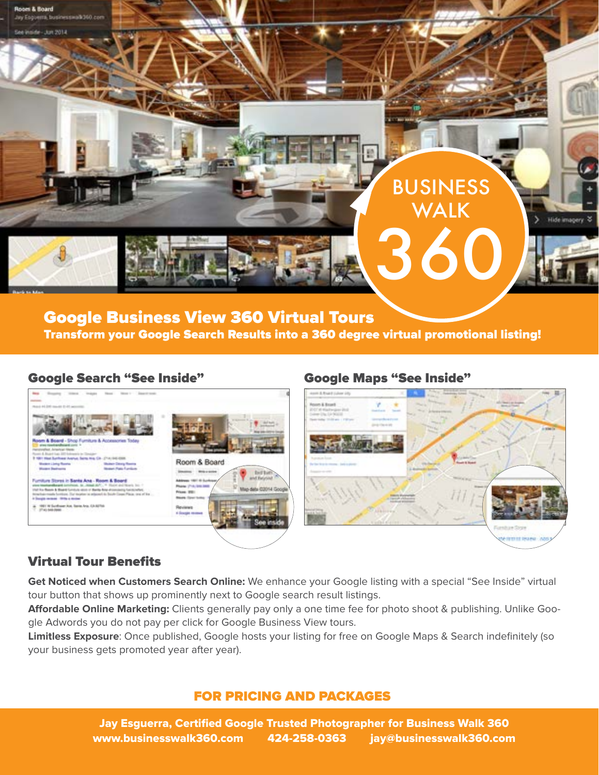

# Google Business View 360 Virtual Tours Transform your Google Search Results into a 360 degree virtual promotional listing!

## Google Search "See Inside" Google Maps "See Inside"



# Virtual Tour Benefits

**Get Noticed when Customers Search Online:** We enhance your Google listing with a special "See Inside" virtual tour button that shows up prominently next to Google search result listings.

**Affordable Online Marketing:** Clients generally pay only a one time fee for photo shoot & publishing. Unlike Google Adwords you do not pay per click for Google Business View tours.

**Limitless Exposure**: Once published, Google hosts your listing for free on Google Maps & Search indefinitely (so your business gets promoted year after year).

## FOR PRICING AND PACKAGES

Jay Esguerra, Certified Google Trusted Photographer for Business Walk 360 www.businesswalk360.com 424-258-0363 jay@businesswalk360.com